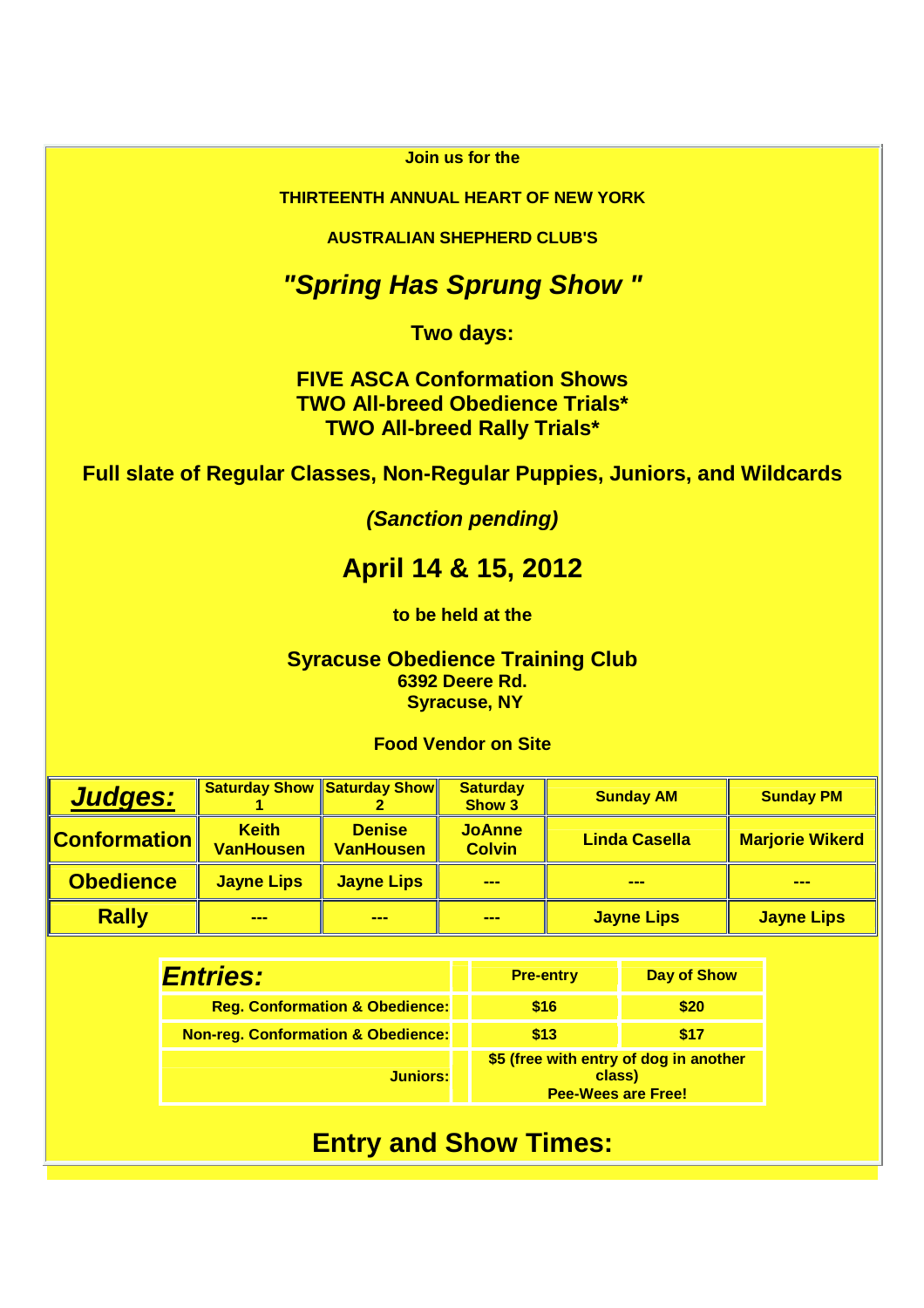#### **Join us for the**

#### **THIRTEENTH ANNUAL HEART OF NEW YORK**

**AUSTRALIAN SHEPHERD CLUB'S** 

### **"Spring Has Sprung Show "**

**Two days:** 

**FIVE ASCA Conformation Shows TWO All-breed Obedience Trials\* TWO All-breed Rally Trials\*** 

**Full slate of Regular Classes, Non-Regular Puppies, Juniors, and Wildcards** 

**(Sanction pending)**

# **April 14 & 15, 2012**

**to be held at the**

**Syracuse Obedience Training Club 6392 Deere Rd. Syracuse, NY** 

**Food Vendor on Site** 

| <b>Judges:</b>   |                                  | <b>Saturday Show Saturday Show</b> | <b>Saturday</b><br>Show 3      | <b>Sunday AM</b>     | <b>Sunday PM</b>       |
|------------------|----------------------------------|------------------------------------|--------------------------------|----------------------|------------------------|
|                  | <b>Keith</b><br><b>VanHousen</b> | <b>Denise</b><br><b>VanHousen</b>  | <b>JoAnne</b><br><b>Colvin</b> | <b>Linda Casella</b> | <b>Marjorie Wikerd</b> |
| <b>Obedience</b> | <b>Jayne Lips</b>                | <b>Jayne Lips</b>                  | ---                            | ---                  | <b>PERMIT</b>          |
| <b>Rally</b>     | <b>BOOK</b>                      | ---                                | <b>SHOP</b>                    | <b>Jayne Lips</b>    | <b>Jayne Lips</b>      |

| <b>Entries:</b>                               | <b>Pre-entry</b>                                                              | <b>Day of Show</b> |  |
|-----------------------------------------------|-------------------------------------------------------------------------------|--------------------|--|
| <b>Reg. Conformation &amp; Obedience:</b>     | \$16                                                                          | \$20               |  |
| <b>Non-reg. Conformation &amp; Obedience:</b> | \$13                                                                          | \$17               |  |
| <b>Juniors:</b>                               | \$5 (free with entry of dog in another<br>class)<br><b>Pee-Wees are Free!</b> |                    |  |

# **Entry and Show Times:**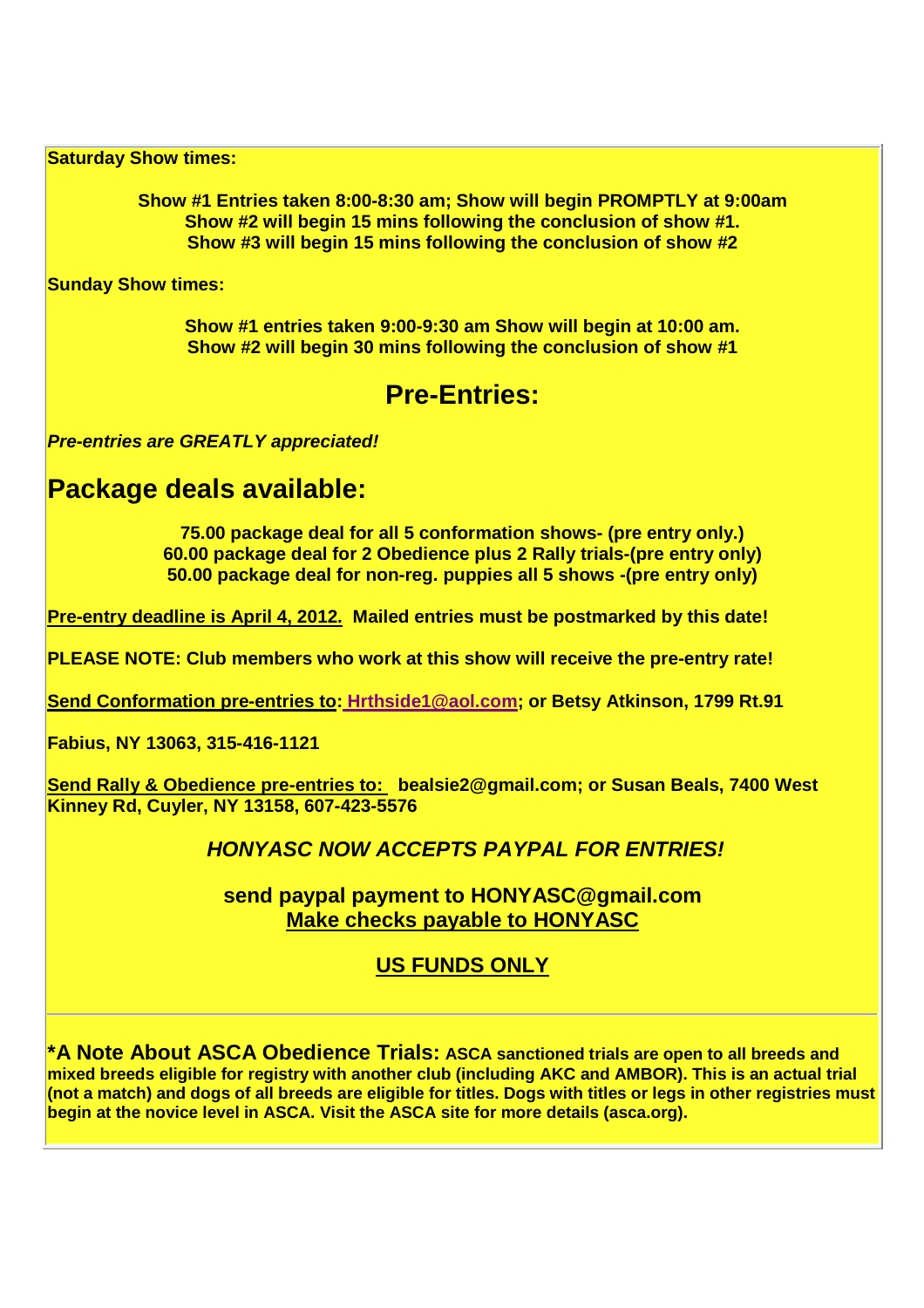**Saturday Show times:** 

**Show #1 Entries taken 8:00-8:30 am; Show will begin PROMPTLY at 9:00am Show #2 will begin 15 mins following the conclusion of show #1. Show #3 will begin 15 mins following the conclusion of show #2** 

**Sunday Show times:** 

**Show #1 entries taken 9:00-9:30 am Show will begin at 10:00 am. Show #2 will begin 30 mins following the conclusion of show #1** 

### **Pre-Entries:**

**Pre-entries are GREATLY appreciated!** 

# **Package deals available:**

**75.00 package deal for all 5 conformation shows- (pre entry only.) 60.00 package deal for 2 Obedience plus 2 Rally trials-(pre entry only) 50.00 package deal for non-reg. puppies all 5 shows -(pre entry only)** 

**Pre-entry deadline is April 4, 2012. Mailed entries must be postmarked by this date!** 

**PLEASE NOTE: Club members who work at this show will receive the pre-entry rate!** 

**Send Conformation pre-entries to: Hrthside1@aol.com; or Betsy Atkinson, 1799 Rt.91** 

**Fabius, NY 13063, 315-416-1121** 

**Send Rally & Obedience pre-entries to: bealsie2@gmail.com; or Susan Beals, 7400 West Kinney Rd, Cuyler, NY 13158, 607-423-5576** 

#### **HONYASC NOW ACCEPTS PAYPAL FOR ENTRIES!**

**send paypal payment to HONYASC@gmail.com Make checks payable to HONYASC**

#### **US FUNDS ONLY**

**\*A Note About ASCA Obedience Trials: ASCA sanctioned trials are open to all breeds and mixed breeds eligible for registry with another club (including AKC and AMBOR). This is an actual trial (not a match) and dogs of all breeds are eligible for titles. Dogs with titles or legs in other registries must begin at the novice level in ASCA. Visit the ASCA site for more details (asca.org).**